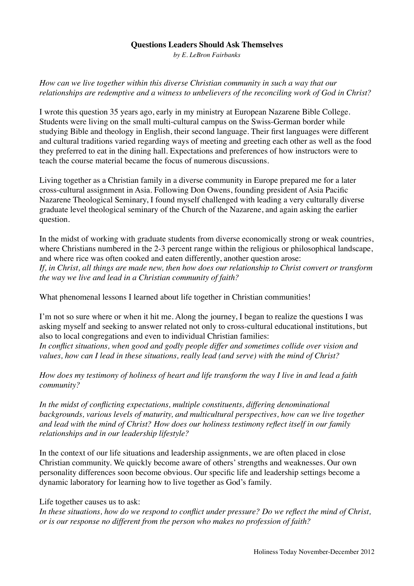## **Questions Leaders Should Ask Themselves**

*by E. LeBron Fairbanks*

*How can we live together within this diverse Christian community in such a way that our relationships are redemptive and a witness to unbelievers of the reconciling work of God in Christ?*

I wrote this question 35 years ago, early in my ministry at European Nazarene Bible College. Students were living on the small multi-cultural campus on the Swiss-German border while studying Bible and theology in English, their second language. Their first languages were different and cultural traditions varied regarding ways of meeting and greeting each other as well as the food they preferred to eat in the dining hall. Expectations and preferences of how instructors were to teach the course material became the focus of numerous discussions.

Living together as a Christian family in a diverse community in Europe prepared me for a later cross-cultural assignment in Asia. Following Don Owens, founding president of Asia Pacific Nazarene Theological Seminary, I found myself challenged with leading a very culturally diverse graduate level theological seminary of the Church of the Nazarene, and again asking the earlier question.

In the midst of working with graduate students from diverse economically strong or weak countries, where Christians numbered in the 2-3 percent range within the religious or philosophical landscape, and where rice was often cooked and eaten differently, another question arose: *If, in Christ, all things are made new, then how does our relationship to Christ convert or transform the way we live and lead in a Christian community of faith?*

What phenomenal lessons I learned about life together in Christian communities!

I'm not so sure where or when it hit me. Along the journey, I began to realize the questions I was asking myself and seeking to answer related not only to cross-cultural educational institutions, but also to local congregations and even to individual Christian families: *In conflict situations, when good and godly people differ and sometimes collide over vision and values, how can I lead in these situations, really lead (and serve) with the mind of Christ?*

*How does my testimony of holiness of heart and life transform the way I live in and lead a faith community?*

*In the midst of conflicting expectations, multiple constituents, differing denominational backgrounds, various levels of maturity, and multicultural perspectives, how can we live together and lead with the mind of Christ? How does our holiness testimony reflect itself in our family relationships and in our leadership lifestyle?*

In the context of our life situations and leadership assignments, we are often placed in close Christian community. We quickly become aware of others' strengths and weaknesses. Our own personality differences soon become obvious. Our specific life and leadership settings become a dynamic laboratory for learning how to live together as God's family.

Life together causes us to ask:

*In these situations, how do we respond to conflict under pressure? Do we reflect the mind of Christ, or is our response no different from the person who makes no profession of faith?*